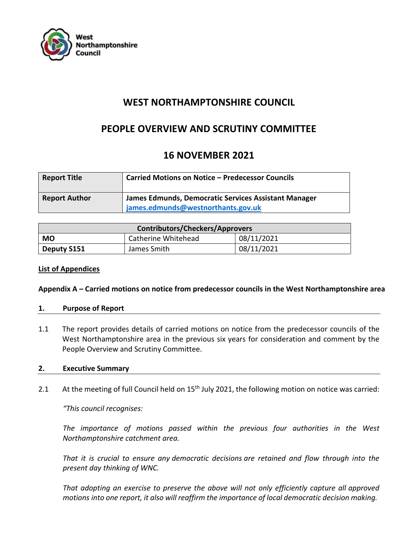

# **WEST NORTHAMPTONSHIRE COUNCIL**

# **PEOPLE OVERVIEW AND SCRUTINY COMMITTEE**

# **16 NOVEMBER 2021**

| <b>Report Title</b>  | <b>Carried Motions on Notice - Predecessor Councils</b>                                    |  |
|----------------------|--------------------------------------------------------------------------------------------|--|
| <b>Report Author</b> | James Edmunds, Democratic Services Assistant Manager<br>james.edmunds@westnorthants.gov.uk |  |

| <b>Contributors/Checkers/Approvers</b> |                     |            |  |
|----------------------------------------|---------------------|------------|--|
| МO                                     | Catherine Whitehead | 08/11/2021 |  |
| Deputy S151                            | James Smith         | 08/11/2021 |  |

## **List of Appendices**

## **Appendix A – Carried motions on notice from predecessor councils in the West Northamptonshire area**

## **1. Purpose of Report**

1.1 The report provides details of carried motions on notice from the predecessor councils of the West Northamptonshire area in the previous six years for consideration and comment by the People Overview and Scrutiny Committee.

## **2. Executive Summary**

2.1 At the meeting of full Council held on 15<sup>th</sup> July 2021, the following motion on notice was carried:

*"This council recognises:*

*The importance of motions passed within the previous four authorities in the West Northamptonshire catchment area.*

*That it is crucial to ensure any democratic decisions are retained and flow through into the present day thinking of WNC.*

*That adopting an exercise to preserve the above will not only efficiently capture all approved motions into one report, it also will reaffirm the importance of local democratic decision making.*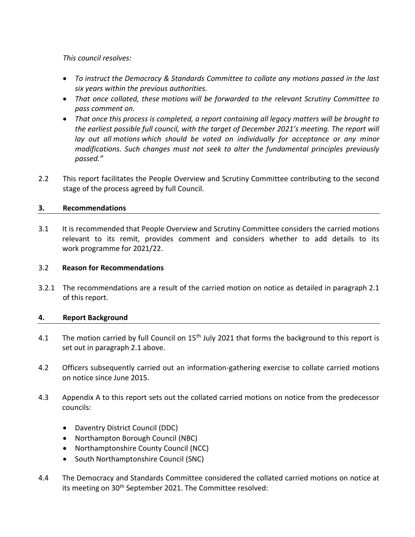*This council resolves:*

- *To instruct the Democracy & Standards Committee to collate any motions passed in the last six years within the previous authorities.*
- *That once collated, these motions will be forwarded to the relevant Scrutiny Committee to pass comment on.*
- *That once this process is completed, a report containing all legacy matters will be brought to the earliest possible full council, with the target of December 2021's meeting. The report will lay out all motions which should be voted on individually for acceptance or any minor modifications. Such changes must not seek to alter the fundamental principles previously passed."*
- 2.2 This report facilitates the People Overview and Scrutiny Committee contributing to the second stage of the process agreed by full Council.

## **3. Recommendations**

3.1 It is recommended that People Overview and Scrutiny Committee considers the carried motions relevant to its remit, provides comment and considers whether to add details to its work programme for 2021/22.

## 3.2 **Reason for Recommendations**

3.2.1 The recommendations are a result of the carried motion on notice as detailed in paragraph 2.1 of this report.

## **4. Report Background**

- 4.1 The motion carried by full Council on 15<sup>th</sup> July 2021 that forms the background to this report is set out in paragraph 2.1 above.
- 4.2 Officers subsequently carried out an information-gathering exercise to collate carried motions on notice since June 2015.
- 4.3 Appendix A to this report sets out the collated carried motions on notice from the predecessor councils:
	- Daventry District Council (DDC)
	- Northampton Borough Council (NBC)
	- Northamptonshire County Council (NCC)
	- South Northamptonshire Council (SNC)
- 4.4 The Democracy and Standards Committee considered the collated carried motions on notice at its meeting on 30<sup>th</sup> September 2021. The Committee resolved: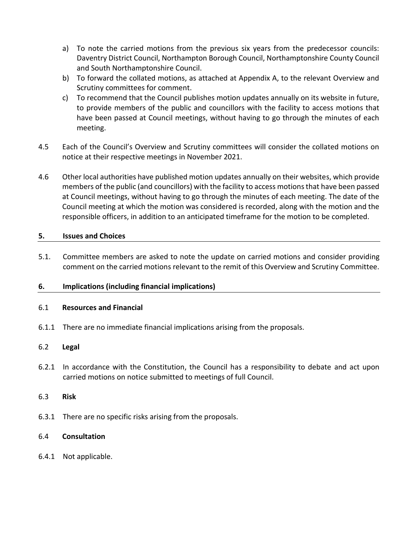- a) To note the carried motions from the previous six years from the predecessor councils: Daventry District Council, Northampton Borough Council, Northamptonshire County Council and South Northamptonshire Council.
- b) To forward the collated motions, as attached at Appendix A, to the relevant Overview and Scrutiny committees for comment.
- c) To recommend that the Council publishes motion updates annually on its website in future, to provide members of the public and councillors with the facility to access motions that have been passed at Council meetings, without having to go through the minutes of each meeting.
- 4.5 Each of the Council's Overview and Scrutiny committees will consider the collated motions on notice at their respective meetings in November 2021.
- 4.6 Other local authorities have published motion updates annually on their websites, which provide members of the public (and councillors) with the facility to access motions that have been passed at Council meetings, without having to go through the minutes of each meeting. The date of the Council meeting at which the motion was considered is recorded, along with the motion and the responsible officers, in addition to an anticipated timeframe for the motion to be completed.

## **5. Issues and Choices**

5.1. Committee members are asked to note the update on carried motions and consider providing comment on the carried motions relevant to the remit of this Overview and Scrutiny Committee.

## **6. Implications (including financial implications)**

## 6.1 **Resources and Financial**

6.1.1 There are no immediate financial implications arising from the proposals.

## 6.2 **Legal**

6.2.1 In accordance with the Constitution, the Council has a responsibility to debate and act upon carried motions on notice submitted to meetings of full Council.

## 6.3 **Risk**

6.3.1 There are no specific risks arising from the proposals.

## 6.4 **Consultation**

6.4.1 Not applicable.